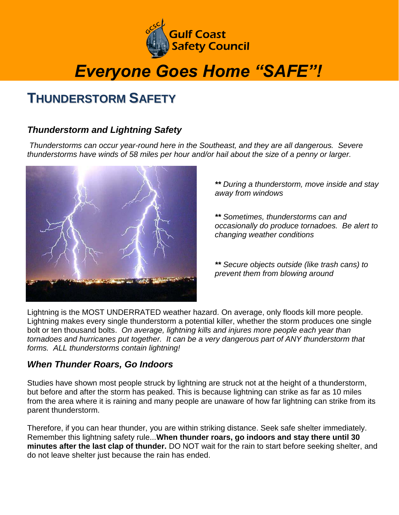

# *Everyone Goes Home "SAFE"!*

## **THUNDERSTORM SAFETY**

### *Thunderstorm and Lightning Safety*

*Thunderstorms can occur year-round here in the Southeast, and they are all dangerous. Severe thunderstorms have winds of 58 miles per hour and/or hail about the size of a penny or larger.*



*\*\* During a thunderstorm, move inside and stay away from windows*

*\*\* Sometimes, thunderstorms can and occasionally do produce tornadoes. Be alert to changing weather conditions*

*\*\* Secure objects outside (like trash cans) to prevent them from blowing around*

Lightning is the MOST UNDERRATED weather hazard. On average, only floods kill more people. Lightning makes every single thunderstorm a potential killer, whether the storm produces one single bolt or ten thousand bolts. *On average, lightning kills and injures more people each year than tornadoes and hurricanes put together. It can be a very dangerous part of ANY thunderstorm that forms. ALL thunderstorms contain lightning!*

### *When Thunder Roars, Go Indoors*

Studies have shown most people struck by lightning are struck not at the height of a thunderstorm, but before and after the storm has peaked. This is because lightning can strike as far as 10 miles from the area where it is raining and many people are unaware of how far lightning can strike from its parent thunderstorm.

Therefore, if you can hear thunder, you are within striking distance. Seek safe shelter immediately. Remember this lightning safety rule...**When thunder roars, go indoors and stay there until 30 minutes after the last clap of thunder.** DO NOT wait for the rain to start before seeking shelter, and do not leave shelter just because the rain has ended.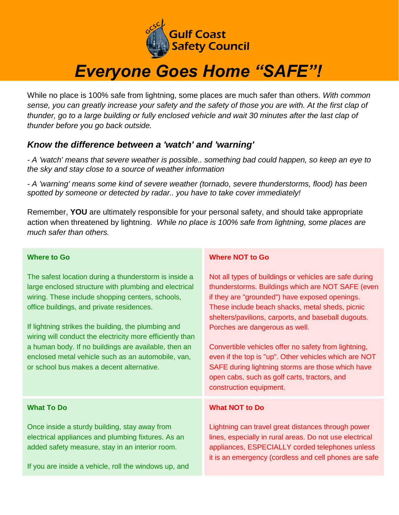

# *Everyone Goes Home "SAFE"!*

While no place is 100% safe from lightning, some places are much safer than others. *With common sense, you can greatly increase your safety and the safety of those you are with. At the first clap of thunder, go to a large building or fully enclosed vehicle and wait 30 minutes after the last clap of thunder before you go back outside.*

### *Know the difference between a 'watch' and 'warning'*

*- A 'watch' means that severe weather is possible.. something bad could happen, so keep an eye to the sky and stay close to a source of weather information*

*- A 'warning' means some kind of severe weather (tornado, severe thunderstorms, flood) has been spotted by someone or detected by radar.. you have to take cover immediately!*

Remember, **YOU** are ultimately responsible for your personal safety, and should take appropriate action when threatened by lightning. *While no place is 100% safe from lightning, some places are much safer than others.*

#### **Where to Go**

The safest location during a thunderstorm is inside a large enclosed structure with plumbing and electrical wiring. These include shopping centers, schools, office buildings, and private residences.

If lightning strikes the building, the plumbing and wiring will conduct the electricity more efficiently than a human body. If no buildings are available, then an enclosed metal vehicle such as an automobile, van, or school bus makes a decent alternative.

#### **What To Do**

Once inside a sturdy building, stay away from electrical appliances and plumbing fixtures. As an added safety measure, stay in an interior room.

If you are inside a vehicle, roll the windows up, and

#### **Where NOT to Go**

Not all types of buildings or vehicles are safe during thunderstorms. Buildings which are NOT SAFE (even if they are "grounded") have exposed openings. These include beach shacks, metal sheds, picnic shelters/pavilions, carports, and baseball dugouts. Porches are dangerous as well.

Convertible vehicles offer no safety from lightning, even if the top is "up". Other vehicles which are NOT SAFE during lightning storms are those which have open cabs, such as golf carts, tractors, and construction equipment.

#### **What NOT to Do**

Lightning can travel great distances through power lines, especially in rural areas. Do not use electrical appliances, ESPECIALLY corded telephones unless it is an emergency (cordless and cell phones are safe